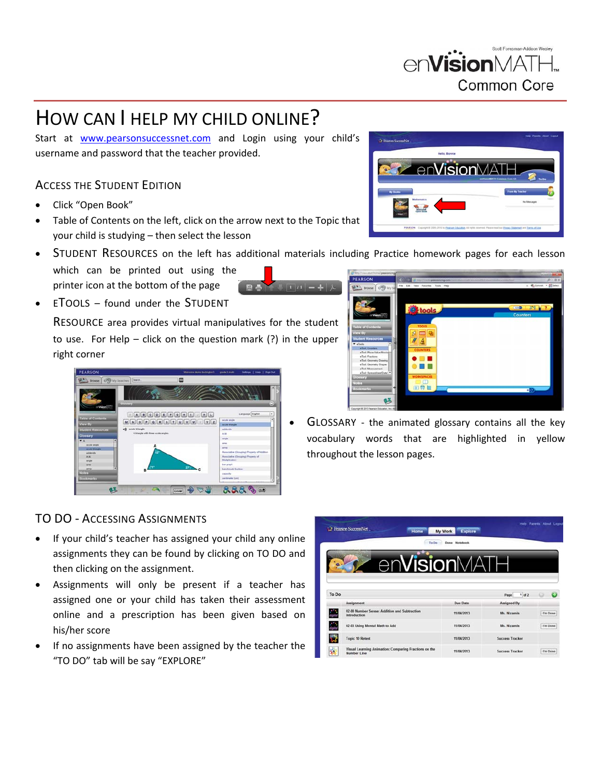# HOW CAN I HELP MY CHILD ONLINE?

Start at www.pearsonsuccessnet.com and Login using your child's username and password that the teacher provided.

# ACCESS THE STUDENT EDITION

- Click "Open Book"
- Table of Contents on the left, click on the arrow next to the Topic that your child is studying – then select the lesson
- STUDENT RESOURCES on the left has additional materials including Practice homework pages for each lesson
- which can be printed out using the printer icon at the bottom of the page
- ETOOLS found under the STUDENT

RESOURCE area provides virtual manipulatives for the student to use. For Help – click on the question mark  $(?)$  in the upper right corner





 GLOSSARY ‐ the animated glossary contains all the key vocabulary words that are highlighted in yellow throughout the lesson pages.

#### TO DO ‐ ACCESSING ASSIGNMENTS

- If your child's teacher has assigned your child any online assignments they can be found by clicking on TO DO and then clicking on the assignment.
- Assignments will only be present if a teacher has assigned one or your child has taken their assessment online and a prescription has been given based on his/her score
- If no assignments have been assigned by the teacher the "TO DO" tab will be say "EXPLORE"